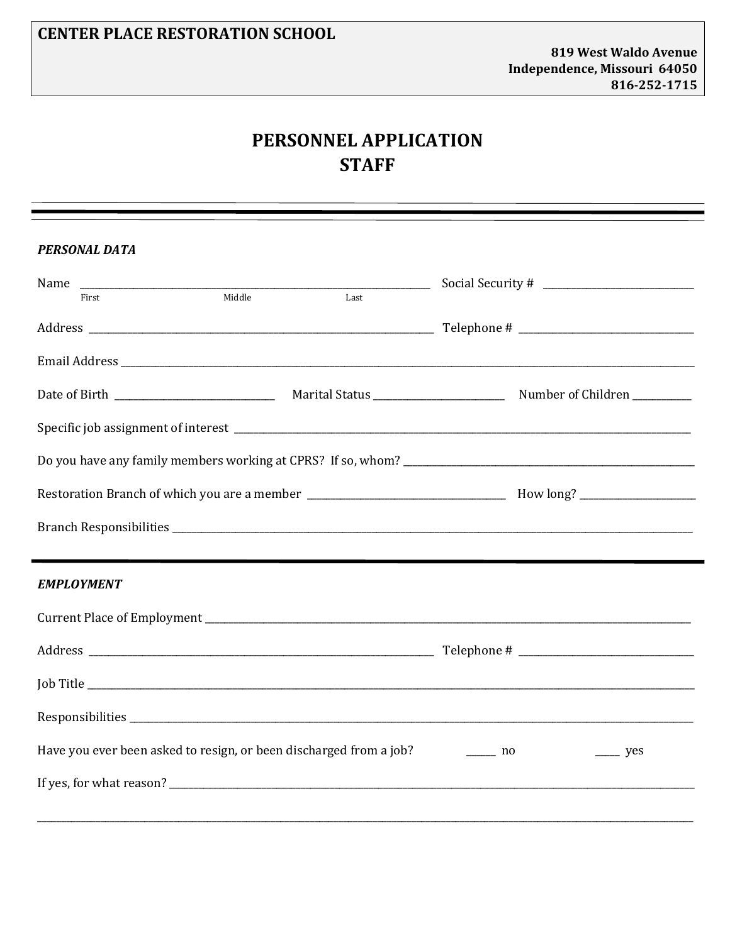## PERSONNEL APPLICATION **STAFF**

| <b>PERSONAL DATA</b>                                               |        |      |                                                               |  |  |  |
|--------------------------------------------------------------------|--------|------|---------------------------------------------------------------|--|--|--|
| First                                                              | Middle | Last |                                                               |  |  |  |
|                                                                    |        |      |                                                               |  |  |  |
|                                                                    |        |      |                                                               |  |  |  |
|                                                                    |        |      |                                                               |  |  |  |
|                                                                    |        |      |                                                               |  |  |  |
|                                                                    |        |      |                                                               |  |  |  |
|                                                                    |        |      |                                                               |  |  |  |
|                                                                    |        |      |                                                               |  |  |  |
|                                                                    |        |      |                                                               |  |  |  |
|                                                                    |        |      |                                                               |  |  |  |
| <b>EMPLOYMENT</b>                                                  |        |      |                                                               |  |  |  |
|                                                                    |        |      |                                                               |  |  |  |
|                                                                    |        |      |                                                               |  |  |  |
|                                                                    |        |      |                                                               |  |  |  |
|                                                                    |        |      |                                                               |  |  |  |
| Have you ever been asked to resign, or been discharged from a job? |        |      | $\frac{1}{\sqrt{1-\frac{1}{2}}}\$ no<br>$\rightharpoonup$ yes |  |  |  |
|                                                                    |        |      | If yes, for what reason?                                      |  |  |  |
|                                                                    |        |      |                                                               |  |  |  |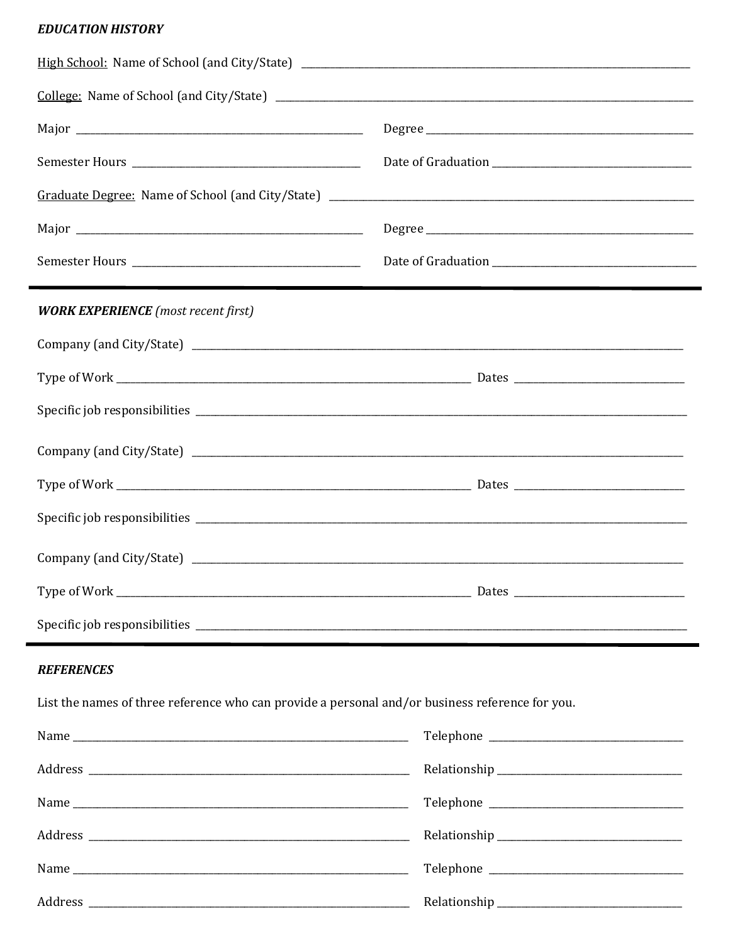## **EDUCATION HISTORY**

.

| <b>WORK EXPERIENCE</b> (most recent first)                                                      |  |  |  |  |
|-------------------------------------------------------------------------------------------------|--|--|--|--|
|                                                                                                 |  |  |  |  |
|                                                                                                 |  |  |  |  |
|                                                                                                 |  |  |  |  |
|                                                                                                 |  |  |  |  |
|                                                                                                 |  |  |  |  |
|                                                                                                 |  |  |  |  |
|                                                                                                 |  |  |  |  |
|                                                                                                 |  |  |  |  |
|                                                                                                 |  |  |  |  |
| <b>REFERENCES</b>                                                                               |  |  |  |  |
| List the names of three reference who can provide a personal and/or business reference for you. |  |  |  |  |
|                                                                                                 |  |  |  |  |
|                                                                                                 |  |  |  |  |
|                                                                                                 |  |  |  |  |
|                                                                                                 |  |  |  |  |
|                                                                                                 |  |  |  |  |

| $\mathbf{r}$<br>⊷ |  |  |  |
|-------------------|--|--|--|
|-------------------|--|--|--|